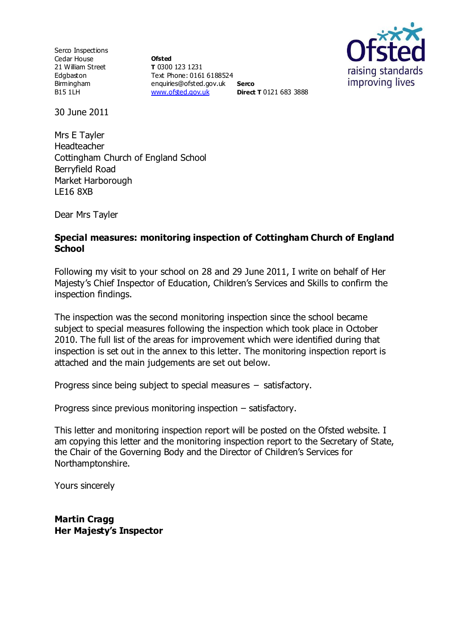Serco Inspections Cedar House 21 William Street Edgbaston Birmingham B15 1LH

**Ofsted T** 0300 123 1231 Text Phone: 0161 6188524 enquiries@ofsted.gov.uk **Serco** [www.ofsted.gov.uk](http://www.ofsted.gov.uk/) **Direct T** 0121 683 3888



30 June 2011

Mrs E Tayler Headteacher Cottingham Church of England School Berryfield Road Market Harborough LE16 8XB

Dear Mrs Tayler

#### **Special measures: monitoring inspection of Cottingham Church of England School**

Following my visit to your school on 28 and 29 June 2011, I write on behalf of Her Majesty's Chief Inspector of Education, Children's Services and Skills to confirm the inspection findings.

The inspection was the second monitoring inspection since the school became subject to special measures following the inspection which took place in October 2010. The full list of the areas for improvement which were identified during that inspection is set out in the annex to this letter. The monitoring inspection report is attached and the main judgements are set out below.

Progress since being subject to special measures – satisfactory.

Progress since previous monitoring inspection – satisfactory.

This letter and monitoring inspection report will be posted on the Ofsted website. I am copying this letter and the monitoring inspection report to the Secretary of State, the Chair of the Governing Body and the Director of Children's Services for Northamptonshire.

Yours sincerely

**Martin Cragg Her Majesty's Inspector**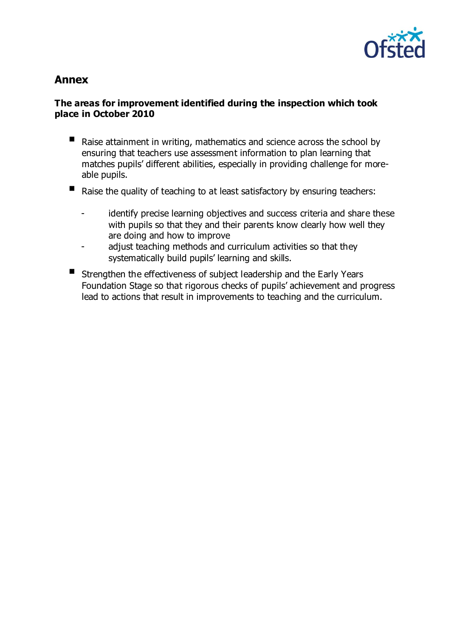

# **Annex**

## **The areas for improvement identified during the inspection which took place in October 2010**

- Raise attainment in writing, mathematics and science across the school by ensuring that teachers use assessment information to plan learning that matches pupils' different abilities, especially in providing challenge for moreable pupils.
- Raise the quality of teaching to at least satisfactory by ensuring teachers:
	- identify precise learning objectives and success criteria and share these with pupils so that they and their parents know clearly how well they are doing and how to improve
	- adjust teaching methods and curriculum activities so that they systematically build pupils' learning and skills.
- Strengthen the effectiveness of subject leadership and the Early Years Foundation Stage so that rigorous checks of pupils' achievement and progress lead to actions that result in improvements to teaching and the curriculum.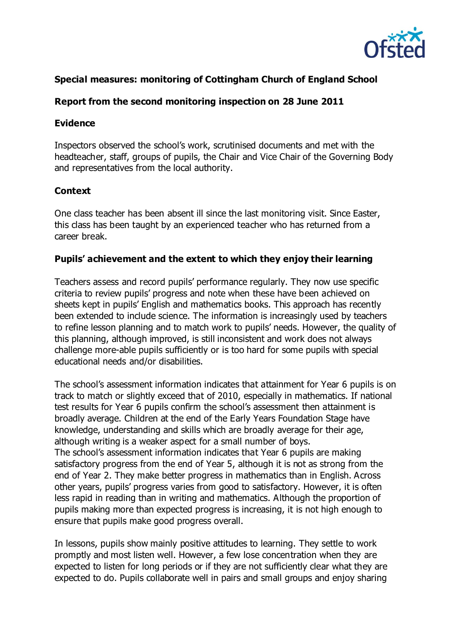

# **Special measures: monitoring of Cottingham Church of England School**

# **Report from the second monitoring inspection on 28 June 2011**

#### **Evidence**

Inspectors observed the school's work, scrutinised documents and met with the headteacher, staff, groups of pupils, the Chair and Vice Chair of the Governing Body and representatives from the local authority.

#### **Context**

One class teacher has been absent ill since the last monitoring visit. Since Easter, this class has been taught by an experienced teacher who has returned from a career break.

#### **Pupils' achievement and the extent to which they enjoy their learning**

Teachers assess and record pupils' performance regularly. They now use specific criteria to review pupils' progress and note when these have been achieved on sheets kept in pupils' English and mathematics books. This approach has recently been extended to include science. The information is increasingly used by teachers to refine lesson planning and to match work to pupils' needs. However, the quality of this planning, although improved, is still inconsistent and work does not always challenge more-able pupils sufficiently or is too hard for some pupils with special educational needs and/or disabilities.

The school's assessment information indicates that attainment for Year 6 pupils is on track to match or slightly exceed that of 2010, especially in mathematics. If national test results for Year 6 pupils confirm the school's assessment then attainment is broadly average. Children at the end of the Early Years Foundation Stage have knowledge, understanding and skills which are broadly average for their age, although writing is a weaker aspect for a small number of boys. The school's assessment information indicates that Year 6 pupils are making satisfactory progress from the end of Year 5, although it is not as strong from the end of Year 2. They make better progress in mathematics than in English. Across other years, pupils' progress varies from good to satisfactory. However, it is often less rapid in reading than in writing and mathematics. Although the proportion of pupils making more than expected progress is increasing, it is not high enough to ensure that pupils make good progress overall.

In lessons, pupils show mainly positive attitudes to learning. They settle to work promptly and most listen well. However, a few lose concentration when they are expected to listen for long periods or if they are not sufficiently clear what they are expected to do. Pupils collaborate well in pairs and small groups and enjoy sharing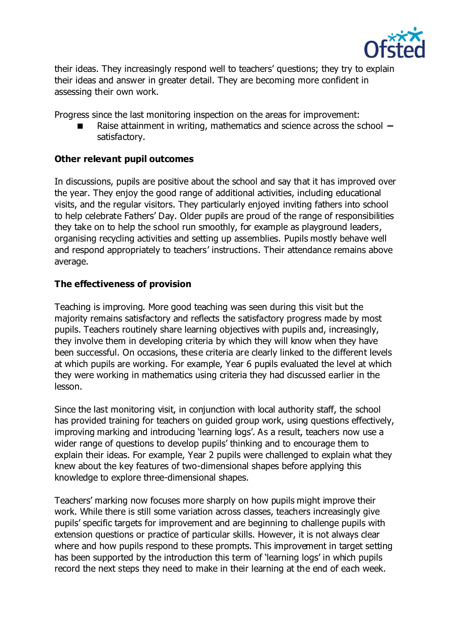

their ideas. They increasingly respond well to teachers' questions; they try to explain their ideas and answer in greater detail. They are becoming more confident in assessing their own work.

Progress since the last monitoring inspection on the areas for improvement:

 Raise attainment in writing, mathematics and science across the school **–** satisfactory.

## **Other relevant pupil outcomes**

In discussions, pupils are positive about the school and say that it has improved over the year. They enjoy the good range of additional activities, including educational visits, and the regular visitors. They particularly enjoyed inviting fathers into school to help celebrate Fathers' Day. Older pupils are proud of the range of responsibilities they take on to help the school run smoothly, for example as playground leaders, organising recycling activities and setting up assemblies. Pupils mostly behave well and respond appropriately to teachers' instructions. Their attendance remains above average.

# **The effectiveness of provision**

Teaching is improving. More good teaching was seen during this visit but the majority remains satisfactory and reflects the satisfactory progress made by most pupils. Teachers routinely share learning objectives with pupils and, increasingly, they involve them in developing criteria by which they will know when they have been successful. On occasions, these criteria are clearly linked to the different levels at which pupils are working. For example, Year 6 pupils evaluated the level at which they were working in mathematics using criteria they had discussed earlier in the lesson.

Since the last monitoring visit, in conjunction with local authority staff, the school has provided training for teachers on guided group work, using questions effectively, improving marking and introducing 'learning logs'. As a result, teachers now use a wider range of questions to develop pupils' thinking and to encourage them to explain their ideas. For example, Year 2 pupils were challenged to explain what they knew about the key features of two-dimensional shapes before applying this knowledge to explore three-dimensional shapes.

Teachers' marking now focuses more sharply on how pupils might improve their work. While there is still some variation across classes, teachers increasingly give pupils' specific targets for improvement and are beginning to challenge pupils with extension questions or practice of particular skills. However, it is not always clear where and how pupils respond to these prompts. This improvement in target setting has been supported by the introduction this term of 'learning logs' in which pupils record the next steps they need to make in their learning at the end of each week.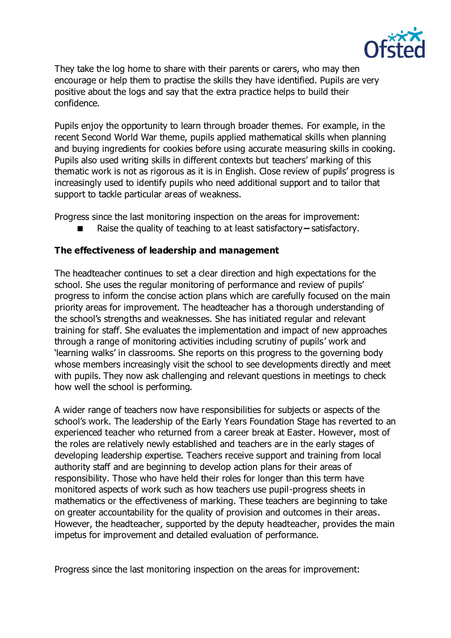

They take the log home to share with their parents or carers, who may then encourage or help them to practise the skills they have identified. Pupils are very positive about the logs and say that the extra practice helps to build their confidence.

Pupils enjoy the opportunity to learn through broader themes. For example, in the recent Second World War theme, pupils applied mathematical skills when planning and buying ingredients for cookies before using accurate measuring skills in cooking. Pupils also used writing skills in different contexts but teachers' marking of this thematic work is not as rigorous as it is in English. Close review of pupils' progress is increasingly used to identify pupils who need additional support and to tailor that support to tackle particular areas of weakness.

Progress since the last monitoring inspection on the areas for improvement:

Raise the quality of teaching to at least satisfactory**–** satisfactory.

# **The effectiveness of leadership and management**

The headteacher continues to set a clear direction and high expectations for the school. She uses the regular monitoring of performance and review of pupils' progress to inform the concise action plans which are carefully focused on the main priority areas for improvement. The headteacher has a thorough understanding of the school's strengths and weaknesses. She has initiated regular and relevant training for staff. She evaluates the implementation and impact of new approaches through a range of monitoring activities including scrutiny of pupils' work and 'learning walks' in classrooms. She reports on this progress to the governing body whose members increasingly visit the school to see developments directly and meet with pupils. They now ask challenging and relevant questions in meetings to check how well the school is performing.

A wider range of teachers now have responsibilities for subjects or aspects of the school's work. The leadership of the Early Years Foundation Stage has reverted to an experienced teacher who returned from a career break at Easter. However, most of the roles are relatively newly established and teachers are in the early stages of developing leadership expertise. Teachers receive support and training from local authority staff and are beginning to develop action plans for their areas of responsibility. Those who have held their roles for longer than this term have monitored aspects of work such as how teachers use pupil-progress sheets in mathematics or the effectiveness of marking. These teachers are beginning to take on greater accountability for the quality of provision and outcomes in their areas. However, the headteacher, supported by the deputy headteacher, provides the main impetus for improvement and detailed evaluation of performance.

Progress since the last monitoring inspection on the areas for improvement: